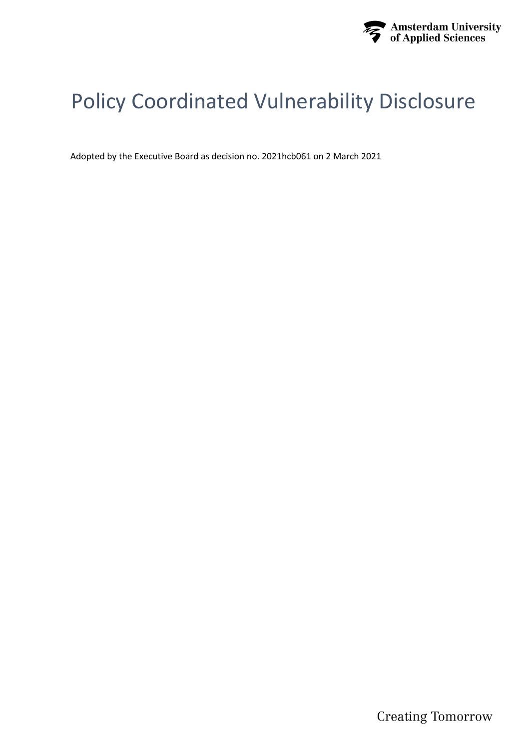

# Policy Coordinated Vulnerability Disclosure

Adopted by the Executive Board as decision no. 2021hcb061 on 2 March 2021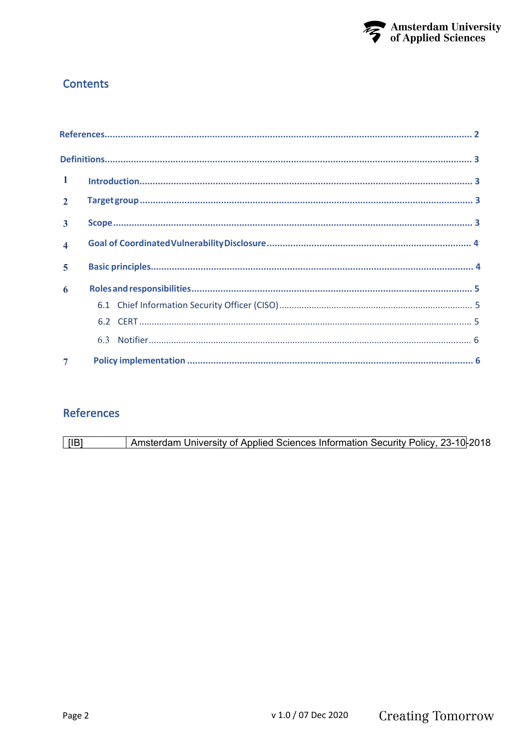

# **Contents**

| $\mathbf{1}$   |  |
|----------------|--|
| $2^{\circ}$    |  |
| $\overline{3}$ |  |
| $\overline{4}$ |  |
| $\overline{5}$ |  |
| 6              |  |
|                |  |
|                |  |
|                |  |
| $\overline{7}$ |  |

# **References**

Amsterdam University of Applied Sciences Information Security Policy, 23-10-2018  $[IB]$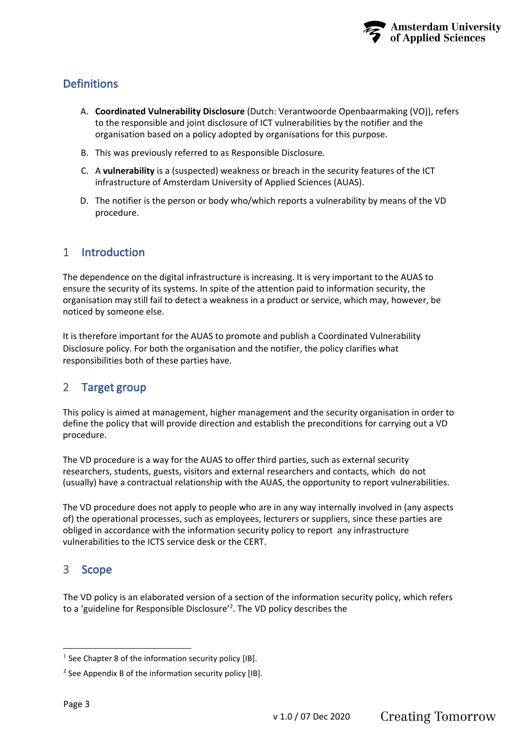# <span id="page-2-0"></span>**Definitions**

- A. **Coordinated Vulnerability Disclosure** (Dutch: Verantwoorde Openbaarmaking (VO)), refers to the responsible and joint disclosure of ICT vulnerabilities by the notifier and the organisation based on a policy adopted by organisations for this purpose.
- B. This was previously referred to as Responsible Disclosure.
- C. A **vulnerability** is a (suspected) weakness or breach in the security features of the ICT infrastructure of Amsterdam University of Applied Sciences (AUAS).
- D. The notifier is the person or body who/which reports a vulnerability by means of the VD procedure.

# 1 Introduction

The dependence on the digital infrastructure is increasing. It is very important to the AUAS to ensure the security of its systems. In spite of the attention paid to information security, the organisation may still fail to detect a weakness in a product or service, which may, however, be noticed by someone else.

It is therefore important for the AUAS to promote and publish a Coordinated Vulnerability Disclosure policy. For both the organisation and the notifier, the policy clarifies what responsibilities both of these parties have.

# 2 Target group

This policy is aimed at management, higher management and the security organisation in order to define the policy that will provide direction and establish the preconditions for carrying out a VD procedure.

The VD procedure is a way for the AUAS to offer third parties, such as external security researchers, students, guests, visitors and external researchers and contacts, which do not (usually) have a contractual relationship with the AUAS, the opportunity to report vulnerabilities.

The VD procedure does not apply to people who are in any way internally involved in (any aspects of) the operational processes, such as employees, lecturers or suppliers, since these parties are obliged in accordance with the information security policy to report any infrastructure vulnerabilities to the ICTS service desk or the CERT.

# 3 Scope

The VD policy is an elaborated version of a section of the information security policy, which refers to a 'guideline for Responsible Disclosure'<sup>2</sup>. The VD policy describes the

 $<sup>1</sup>$  See Chapter 8 of the information security policy [IB].</sup>

<sup>&</sup>lt;sup>2</sup> See Appendix B of the information security policy [IB].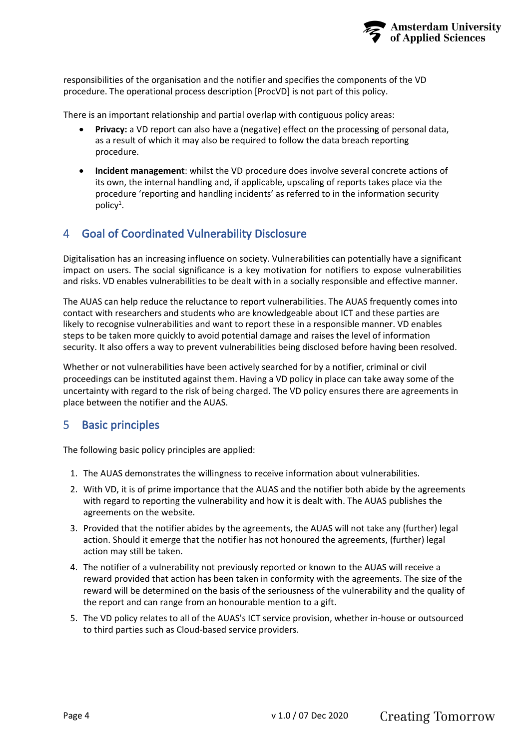

<span id="page-3-0"></span>responsibilities of the organisation and the notifier and specifies the components of the VD procedure. The operational process description [ProcVD] is not part of this policy.

There is an important relationship and partial overlap with contiguous policy areas:

- **Privacy:** a VD report can also have a (negative) effect on the processing of personal data, as a result of which it may also be required to follow the data breach reporting procedure.
- **Incident management**: whilst the VD procedure does involve several concrete actions of its own, the internal handling and, if applicable, upscaling of reports takes place via the procedure 'reporting and handling incidents' as referred to in the information security policy<sup>1</sup>.

## 4 Goal of Coordinated Vulnerability Disclosure

Digitalisation has an increasing influence on society. Vulnerabilities can potentially have a significant impact on users. The social significance is a key motivation for notifiers to expose vulnerabilities and risks. VD enables vulnerabilities to be dealt with in a socially responsible and effective manner.

The AUAS can help reduce the reluctance to report vulnerabilities. The AUAS frequently comes into contact with researchers and students who are knowledgeable about ICT and these parties are likely to recognise vulnerabilities and want to report these in a responsible manner. VD enables steps to be taken more quickly to avoid potential damage and raises the level of information security. It also offers a way to prevent vulnerabilities being disclosed before having been resolved.

Whether or not vulnerabilities have been actively searched for by a notifier, criminal or civil proceedings can be instituted against them. Having a VD policy in place can take away some of the uncertainty with regard to the risk of being charged. The VD policy ensures there are agreements in place between the notifier and the AUAS.

## 5 Basic principles

The following basic policy principles are applied:

- 1. The AUAS demonstrates the willingness to receive information about vulnerabilities.
- 2. With VD, it is of prime importance that the AUAS and the notifier both abide by the agreements with regard to reporting the vulnerability and how it is dealt with. The AUAS publishes the agreements on the website.
- 3. Provided that the notifier abides by the agreements, the AUAS will not take any (further) legal action. Should it emerge that the notifier has not honoured the agreements, (further) legal action may still be taken.
- 4. The notifier of a vulnerability not previously reported or known to the AUAS will receive a reward provided that action has been taken in conformity with the agreements. The size of the reward will be determined on the basis of the seriousness of the vulnerability and the quality of the report and can range from an honourable mention to a gift.
- 5. The VD policy relates to all of the AUAS's ICT service provision, whether in-house or outsourced to third parties such as Cloud-based service providers.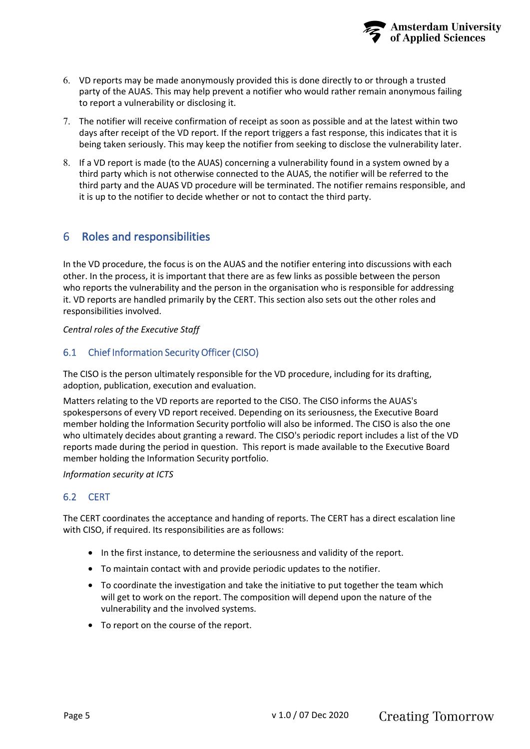

- <span id="page-4-0"></span>6. VD reports may be made anonymously provided this is done directly to or through a trusted party of the AUAS. This may help prevent a notifier who would rather remain anonymous failing to report a vulnerability or disclosing it.
- 7. The notifier will receive confirmation of receipt as soon as possible and at the latest within two days after receipt of the VD report. If the report triggers a fast response, this indicates that it is being taken seriously. This may keep the notifier from seeking to disclose the vulnerability later.
- 8. If a VD report is made (to the AUAS) concerning a vulnerability found in a system owned by a third party which is not otherwise connected to the AUAS, the notifier will be referred to the third party and the AUAS VD procedure will be terminated. The notifier remains responsible, and it is up to the notifier to decide whether or not to contact the third party.

# 6 Roles and responsibilities

In the VD procedure, the focus is on the AUAS and the notifier entering into discussions with each other. In the process, it is important that there are as few links as possible between the person who reports the vulnerability and the person in the organisation who is responsible for addressing it. VD reports are handled primarily by the CERT. This section also sets out the other roles and responsibilities involved.

#### *Central roles of the Executive Staff*

#### 6.1 Chief Information Security Officer (CISO)

The CISO is the person ultimately responsible for the VD procedure, including for its drafting, adoption, publication, execution and evaluation.

Matters relating to the VD reports are reported to the CISO. The CISO informs the AUAS's spokespersons of every VD report received. Depending on its seriousness, the Executive Board member holding the Information Security portfolio will also be informed. The CISO is also the one who ultimately decides about granting a reward. The CISO's periodic report includes a list of the VD reports made during the period in question. This report is made available to the Executive Board member holding the Information Security portfolio.

#### *Information security at ICTS*

#### 6.2 CERT

The CERT coordinates the acceptance and handing of reports. The CERT has a direct escalation line with CISO, if required. Its responsibilities are as follows:

- In the first instance, to determine the seriousness and validity of the report.
- To maintain contact with and provide periodic updates to the notifier.
- To coordinate the investigation and take the initiative to put together the team which will get to work on the report. The composition will depend upon the nature of the vulnerability and the involved systems.
- To report on the course of the report.